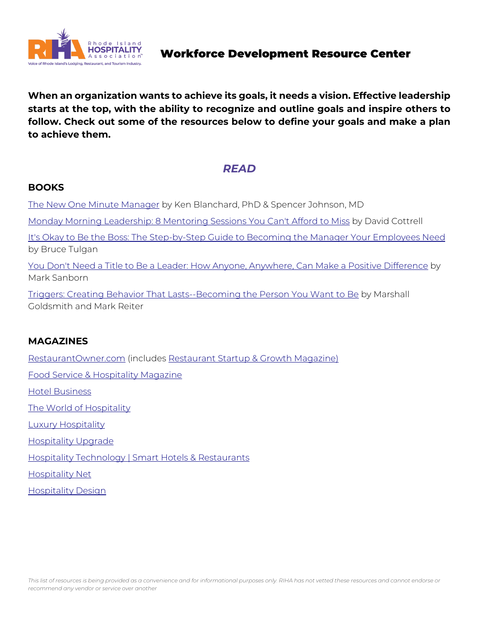

**When an organization wants to achieve its goals, it needs a vision. Effective leadership starts at the top, with the ability to recognize and outline goals and inspire others to follow. Check out some of the resources below to define your goals and make a plan to achieve them.** 

# *READ*

### **BOOKS**

[The New One Minute Manager](https://www.amazon.com/New-One-Minute-Manager/dp/0062367544/ref=asc_df_0062367544/?tag=hyprod-20&linkCode=df0&hvadid=312025907421&hvpos=&hvnetw=g&hvrand=945176413605399222&hvpone=&hvptwo=&hvqmt=&hvdev=c&hvdvcmdl=&hvlocint=&hvlocphy=9002243&hvtargid=pla-435) by Ken Blanchard, PhD & Spencer Johnson, MD [Monday Morning Leadership: 8 Mentoring Sessions You Can't Afford to Miss](https://www.amazon.com/Monday-Morning-Leadership-Mentoring-Sessions/dp/0971942439/ref=asc_df_0971942439/?tag=hyprod-20&linkCode=df0&hvadid=312065696873&hvpos=&hvnetw=g&hvrand=8460672702075029105&hvpone=&hvptwo=&hvqmt=&hvdev=c&hvdvcmdl=&hvlocint=&hvlocphy=9) by David Cottrell [It's Okay to Be the Boss: The Step-by-Step Guide to Becoming the Manager Your Employees Need](https://www.amazon.com/Its-Okay-Boss-Step-Step/dp/0061121363) by Bruce Tulgan

[You Don't Need a Title to Be a Leader: How Anyone, Anywhere, Can Make a Positive Difference](https://www.amazon.com/You-Dont-Need-Title-Leader/dp/0385517475) by Mark Sanborn

[Triggers: Creating Behavior That Lasts--Becoming the Person You Want to Be](https://www.amazon.com/Triggers-Creating-Behavior-Lasts-Becoming-Person/dp/0804141231) by Marshall Goldsmith and Mark Reiter

### **MAGAZINES**

[RestaurantOwner.com](https://www.restaurantowner.com/public/Join-Restaurant-Owner.cfm) (includes [Restaurant Startup & Growth Magazine\)](https://www.restaurantowner.com/public/Restaurant-Startup-Magazine.cfm)

[Food Service & Hospitality Magazine](https://www.foodserviceandhospitality.com/)

[Hotel Business](https://hotelbusiness.com/)

[The World of Hospitality](https://theworldofhospitality.com/)

[Luxury Hospitality](https://lhmagazine.co.uk/)

[Hospitality Upgrade](https://www.hospitalityupgrade.com/)

[Hospitality Technology | Smart Hotels & Restaurants](https://hospitalitytech.com/)

[Hospitality Net](https://www.hospitalitynet.org/)

[Hospitality Design](https://hospitalitydesign.com/)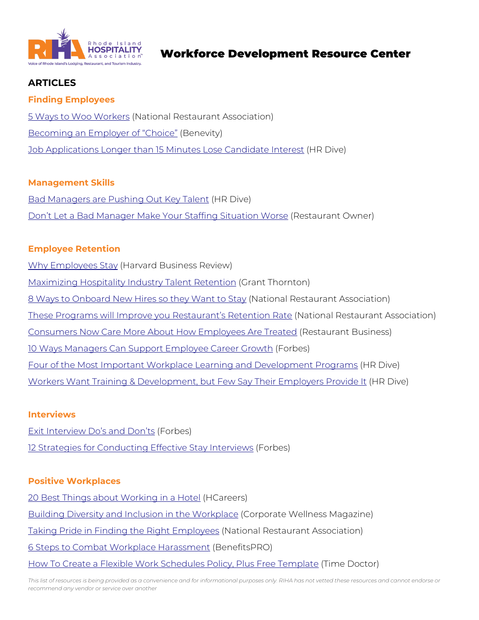

## **ARTICLES**

#### **Finding Employees**

[5 Ways to Woo Workers](https://restaurant.org/education-and-resources/resource-library/5-ways-to-woo-workers/) (National Restaurant Association) [Becoming an Employer of "Choice"](https://benevity.com/resources/becoming-an-employer-of-choice?&utm_campaign=nam_g_dg_performancemax_remarketing&utm_source=google&utm_medium=cpc&utm_content=&utm_term=&gclid=Cj0KCQiAuvOPBhDXARIsAKzLQ8GkTsFrLkAJsSJCM8AKRH7Wb_3H_JElyOey7yi2irjGU9hdnsoAhTwaAk) (Benevity) [Job Applications Longer than 15 Minutes Lose Candidate Interest](https://www.hrdive.com/news/job-applications-longer-than-15-minutes-lose-candidate-interest/618169/#:%7E:text=Job%20applications%20that%20take%20longer,HR%20Dive%20in%20an%20email.) (HR Dive)

#### **Management Skills**

[Bad Managers are Pushing Out Key Talent](https://www.hrdive.com/news/bad-bosses-talent-turnover/617822/?:%20HR%20Dive:%20Talent%20Daily%2001-29-2022&:%20Talent%20Weekender) (HR Dive) [Don't Let a Bad Manager Make](https://www.restaurantowner.com/public/Best-Practice-Dont-Let-a-Bad-Manager-Make-Your-Staffing-Situation-Worse.cfm?inf_contact_key=514763346af369977d8cec58e7405c3b680f8914173f9191b1c0223e68310bb1) Your Staffing Situation Worse (Restaurant Owner)

#### **Employee Retention**

[Why Employees Stay](https://hbr.org/1973/07/why-employees-stay) (Harvard Business Review)

[Maximizing Hospitality Industry Talent Retention](https://www.grantthornton.com/library/articles/hospitality-and-restaurants/2021/maximizing-hospitality-industry-talent-retention.aspx) (Grant Thornton)

- [8 Ways to Onboard New Hires so they Want to Stay](https://restaurant.org/education-and-resources/resource-library/8-ways-to-onboard-new-hires-so-they-want-to-stay/) (National Restaurant Association)
- [These Programs will Improve you Restaurant's Retention Rate](https://restaurant.org/education-and-resources/resource-library/programs-to-improve-employee-retention-rates/) (National Restaurant Association)

[Consumers Now Care More About How Employees Are Treated](https://www.restaurantbusinessonline.com/consumer-trends/consumers-now-care-more-about-how-employees-are-treated-study-finds) (Restaurant Business)

[10 Ways Managers Can Support Employee Career Growth](https://www.forbes.com/sites/forbesbusinesscouncil/2021/06/03/10-ways-managers-can-support-employee-career-growth/?sh=6142ebf97ab7) (Forbes)

[Four of the Most Important Workplace Learning and Development Programs](https://www.hrdive.com/news/4-upskilling-programs-to-take-employees-to-the-next-level/617971/) (HR Dive)

Workers Want Training [& Development, but Few Say Their Employers Provide It](https://www.hrdive.com/news/workers-want-training-development-but-few-say-their-employers-provide-it/617852/?:%202022-01-27%20HR%20Dive:%20Talent%20%5Bissue:39408%5D&:%20Talent) (HR Dive)

#### **Interviews**

[Exit Interview Do's and Don'ts](https://www.forbes.com/sites/nextavenue/2015/06/04/exit-interview-dos-and-donts/?sh=3094994a45fa) (Forbes) [12 Strategies for Conducting Effective Stay Interviews](https://www.forbes.com/sites/forbeshumanresourcescouncil/2020/04/06/12-strategies-for-conducting-effective-stay-interviews/?sh=4005062161a3) (Forbes)

#### **Positive Workplaces**

[20 Best Things about Working in a Hotel](https://www.hcareers.com/article/career-advice/20-best-things-about-working-in-a-hotel) (HCareers) [Building Diversity and Inclusion in the Workplace](https://www.corporatewellnessmagazine.com/article/building-diversity-and-inclusion-in-the-workplace) (Corporate Wellness Magazine) [Taking Pride in Finding the Right Employees](https://restaurant.org/education-and-resources/resource-library/taking-pride-in-finding-the-right-employees/) (National Restaurant Association) [6 Steps to Combat Workplace Harassment](https://www.benefitspro.com/2021/12/22/6-steps-to-combat-workplace-harassment/?slreturn=20220329131240) (BenefitsPRO) [How To Create a Flexible Work Schedules Policy, Plus Free Template](https://biz30.timedoctor.com/flexible-work-schedules-policy/) (Time Doctor)

*This list of resources is being provided as a convenience and for informational purposes only. RIHA has not vetted these resources and cannot endorse or recommend any vendor or service over another*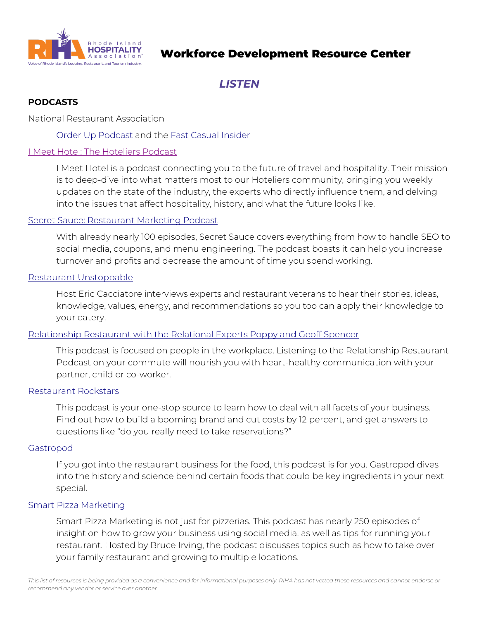

## Workforce Development Resource Center

# *LISTEN*

### **PODCASTS**

National Restaurant Association

[Order Up Podcast](https://restaurant.org/education-and-resources/podcasts/order-up/) and the [Fast Casual Insider](https://restaurant.org/education-and-resources/podcasts/fast-casual-insider/)

#### [I Meet Hotel: The Hoteliers Podcast](https://www.imeethotel.com/podcast/)

I Meet Hotel is a podcast connecting you to the future of travel and hospitality. Their mission is to deep-dive into what matters most to our Hoteliers community, bringing you weekly updates on the state of the industry, the experts who directly influence them, and delving into the issues that affect hospitality, history, and what the future looks like.

#### [Secret Sauce: Restaurant Marketing Podcast](https://marketing4restaurants.com/secret-sauce/)

With already nearly 100 episodes, Secret Sauce covers everything from how to handle SEO to social media, coupons, and menu engineering. The podcast boasts it can help you increase turnover and profits and decrease the amount of time you spend working.

#### [Restaurant Unstoppable](https://restaurantunstoppable.com/about-yoooo-im-eric-cacciatore-yes-my-last-name-is-just-like-the-chicken-and-i-love-two-things-in-life-more-than-anything-else-the-restaurant-industry-and-helping-others-this-blog-was-creat/)

Host Eric Cacciatore interviews experts and restaurant veterans to hear their stories, ideas, knowledge, values, energy, and recommendations so you too can apply their knowledge to your eatery.

#### [Relationship Restaurant with the Relational Experts Poppy and Geoff Spencer](https://poppyandgeoff.com/relationships-podcast/)

This podcast is focused on people in the workplace. Listening to the Relationship Restaurant Podcast on your commute will nourish you with heart-healthy communication with your partner, child or co-worker.

#### [Restaurant Rockstars](https://restaurantrockstars.com/podcasts/)

This podcast is your one-stop source to learn how to deal with all facets of your business. Find out how to build a booming brand and cut costs by 12 percent, and get answers to questions like "do you really need to take reservations?"

#### [Gastropod](https://gastropod.com/)

If you got into the restaurant business for the food, this podcast is for you. Gastropod dives into the history and science behind certain foods that could be key ingredients in your next special.

#### [Smart Pizza Marketing](https://www.smartpizzamarketing.com/archive/)

Smart Pizza Marketing is not just for pizzerias. This podcast has nearly 250 episodes of insight on how to grow your business using social media, as well as tips for running your restaurant. Hosted by Bruce Irving, the podcast discusses topics such as how to take over your family restaurant and growing to multiple locations.